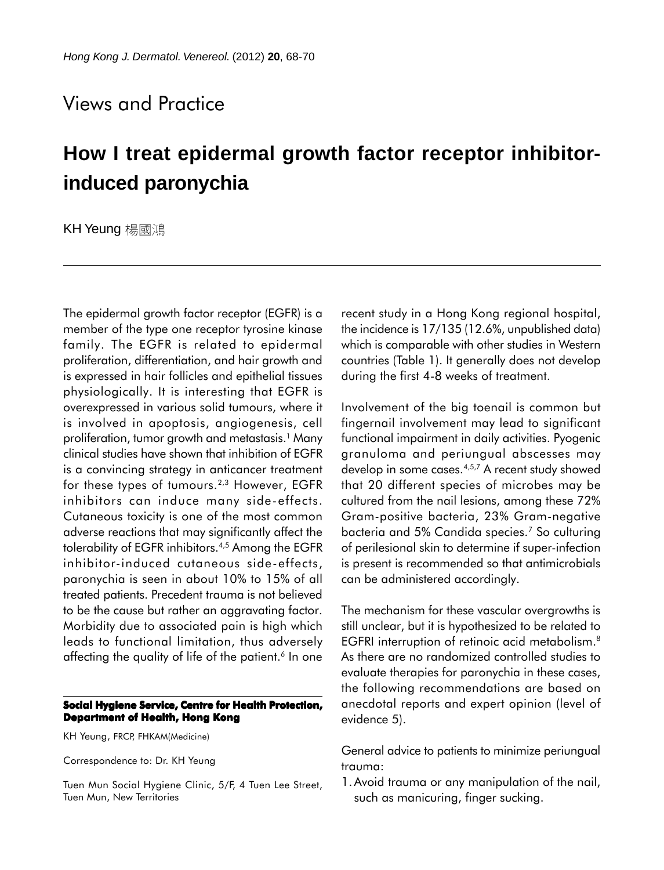## Views and Practice

## **How I treat epidermal growth factor receptor inhibitorinduced paronychia**

KH Yeung 楊國鴻

The epidermal growth factor receptor (EGFR) is a member of the type one receptor tyrosine kinase family. The EGFR is related to epidermal proliferation, differentiation, and hair growth and is expressed in hair follicles and epithelial tissues physiologically. It is interesting that EGFR is overexpressed in various solid tumours, where it is involved in apoptosis, angiogenesis, cell proliferation, tumor growth and metastasis.1 Many clinical studies have shown that inhibition of EGFR is a convincing strategy in anticancer treatment for these types of tumours.<sup>2,3</sup> However, EGFR inhibitors can induce many side-effects. Cutaneous toxicity is one of the most common adverse reactions that may significantly affect the tolerability of EGFR inhibitors.<sup>4,5</sup> Among the EGFR inhibitor-induced cutaneous side-effects, paronychia is seen in about 10% to 15% of all treated patients. Precedent trauma is not believed to be the cause but rather an aggravating factor. Morbidity due to associated pain is high which leads to functional limitation, thus adversely affecting the quality of life of the patient.<sup>6</sup> In one

## **Social Hygiene Service, Centre for Health Protection, Department of Health, Hong Kong**

KH Yeung, FRCP, FHKAM(Medicine)

Correspondence to: Dr. KH Yeung

Tuen Mun Social Hygiene Clinic, 5/F, 4 Tuen Lee Street, Tuen Mun, New Territories

recent study in a Hong Kong regional hospital, the incidence is 17/135 (12.6%, unpublished data) which is comparable with other studies in Western countries (Table 1). It generally does not develop during the first 4-8 weeks of treatment.

Involvement of the big toenail is common but fingernail involvement may lead to significant functional impairment in daily activities. Pyogenic granuloma and periungual abscesses may develop in some cases.4,5,7 A recent study showed that 20 different species of microbes may be cultured from the nail lesions, among these 72% Gram-positive bacteria, 23% Gram-negative bacteria and 5% Candida species.7 So culturing of perilesional skin to determine if super-infection is present is recommended so that antimicrobials can be administered accordingly.

The mechanism for these vascular overgrowths is still unclear, but it is hypothesized to be related to EGFRI interruption of retinoic acid metabolism.8 As there are no randomized controlled studies to evaluate therapies for paronychia in these cases, the following recommendations are based on anecdotal reports and expert opinion (level of evidence 5).

General advice to patients to minimize periungual trauma:

1.Avoid trauma or any manipulation of the nail, such as manicuring, finger sucking.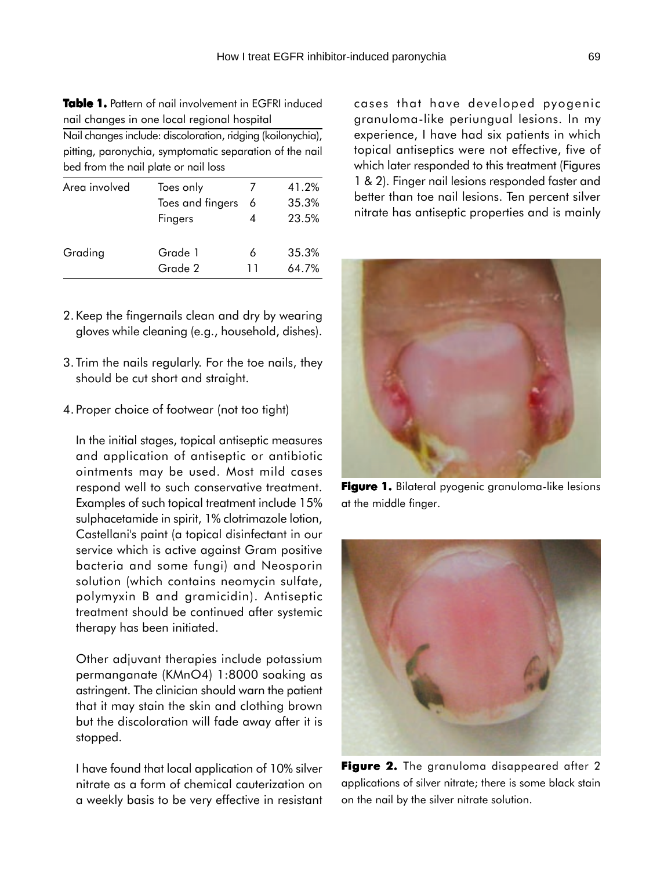**Table 1.** Pattern of nail involvement in EGFRI induced nail changes in one local regional hospital

Nail changes include: discoloration, ridging (koilonychia), pitting, paronychia, symptomatic separation of the nail bed from the nail plate or nail loss

| Area involved | Toes only        |    | 41.2% |
|---------------|------------------|----|-------|
|               | Toes and fingers | -6 | 35.3% |
|               | Fingers          |    | 23.5% |
| Grading       | Grade 1          |    | 35.3% |
|               | Grade 2          |    | 64.7% |
|               |                  |    |       |

- 2.Keep the fingernails clean and dry by wearing gloves while cleaning (e.g., household, dishes).
- 3.Trim the nails regularly. For the toe nails, they should be cut short and straight.
- 4.Proper choice of footwear (not too tight)

In the initial stages, topical antiseptic measures and application of antiseptic or antibiotic ointments may be used. Most mild cases respond well to such conservative treatment. Examples of such topical treatment include 15% sulphacetamide in spirit, 1% clotrimazole lotion, Castellani's paint (a topical disinfectant in our service which is active against Gram positive bacteria and some fungi) and Neosporin solution (which contains neomycin sulfate, polymyxin B and gramicidin). Antiseptic treatment should be continued after systemic therapy has been initiated.

Other adjuvant therapies include potassium permanganate (KMnO4) 1:8000 soaking as astringent. The clinician should warn the patient that it may stain the skin and clothing brown but the discoloration will fade away after it is stopped.

I have found that local application of 10% silver nitrate as a form of chemical cauterization on a weekly basis to be very effective in resistant cases that have developed pyogenic granuloma-like periungual lesions. In my experience, I have had six patients in which topical antiseptics were not effective, five of which later responded to this treatment (Figures 1 & 2). Finger nail lesions responded faster and better than toe nail lesions. Ten percent silver nitrate has antiseptic properties and is mainly



**Figure 1.** Bilateral pyogenic granuloma-like lesions at the middle finger.



**Figure 2.** The granuloma disappeared after 2 applications of silver nitrate; there is some black stain on the nail by the silver nitrate solution.